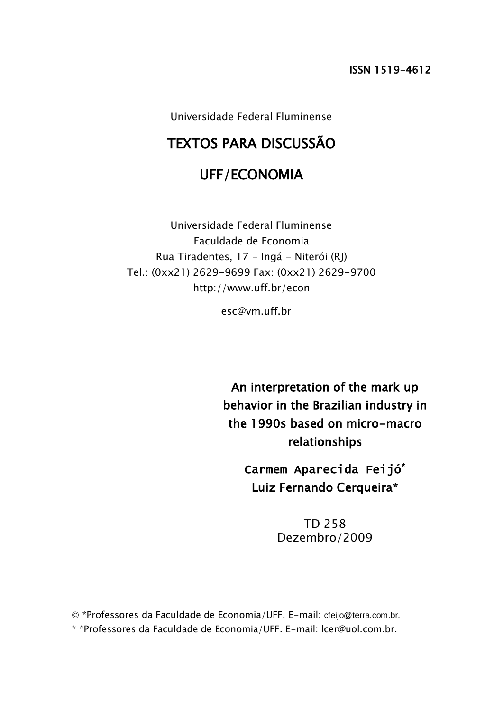Universidade Federal Fluminense

# TEXTOS PARA DISCUSSÃO

# UFF/ECONOMIA

Universidade Federal Fluminense Faculdade de Economia Rua Tiradentes, 17 - Ingá - Niterói (RJ) Tel.: (0xx21) 2629-9699 Fax: (0xx21) 2629-9700 <http://www.uff.br/>econ

esc@vm.uff.br

An interpretation of the mark up behavior in the Brazilian industry in the 1990s based on micro-macro relationships

> Carmem Aparecida Feijó\* Luiz Fernando Cerqueira\*

> > TD 258 Dezembro/2009

 \*Professores da Faculdade de Economia/UFF. E-mail: cfeijo@terra.com.br. \* \*Professores da Faculdade de Economia/UFF. E-mail: lcer@uol.com.br.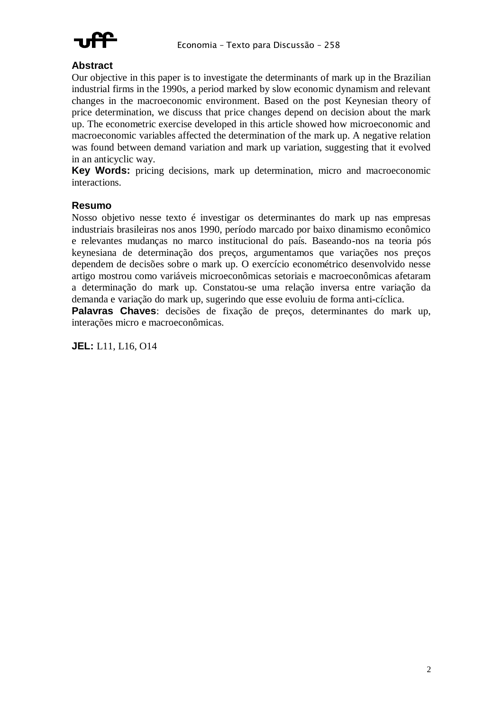

## **Abstract**

Our objective in this paper is to investigate the determinants of mark up in the Brazilian industrial firms in the 1990s, a period marked by slow economic dynamism and relevant changes in the macroeconomic environment. Based on the post Keynesian theory of price determination, we discuss that price changes depend on decision about the mark up. The econometric exercise developed in this article showed how microeconomic and macroeconomic variables affected the determination of the mark up. A negative relation was found between demand variation and mark up variation, suggesting that it evolved in an anticyclic way.

**Key Words:** pricing decisions, mark up determination, micro and macroeconomic interactions.

#### **Resumo**

Nosso objetivo nesse texto é investigar os determinantes do mark up nas empresas industriais brasileiras nos anos 1990, período marcado por baixo dinamismo econômico e relevantes mudanças no marco institucional do país. Baseando-nos na teoria pós keynesiana de determinação dos preços, argumentamos que variações nos preços dependem de decisões sobre o mark up. O exercício econométrico desenvolvido nesse artigo mostrou como variáveis microeconômicas setoriais e macroeconômicas afetaram a determinação do mark up. Constatou-se uma relação inversa entre variação da demanda e variação do mark up, sugerindo que esse evoluiu de forma anti-cíclica.

**Palavras Chaves**: decisões de fixação de preços, determinantes do mark up, interações micro e macroeconômicas.

**JEL:** L11, L16, O14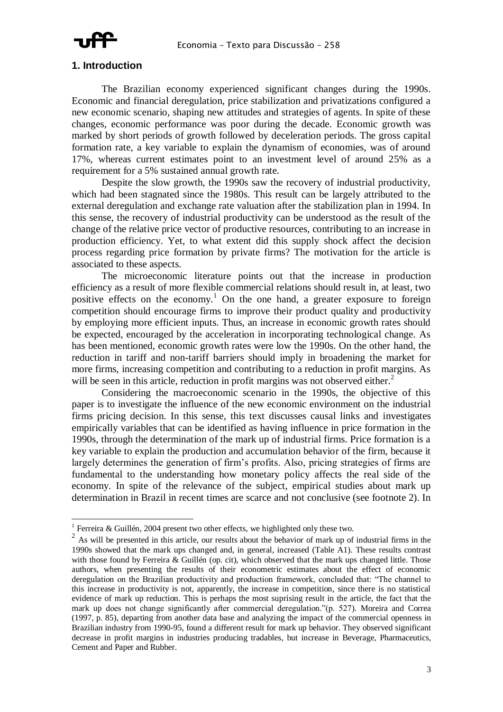

#### **1. Introduction**

The Brazilian economy experienced significant changes during the 1990s. Economic and financial deregulation, price stabilization and privatizations configured a new economic scenario, shaping new attitudes and strategies of agents. In spite of these changes, economic performance was poor during the decade. Economic growth was marked by short periods of growth followed by deceleration periods. The gross capital formation rate, a key variable to explain the dynamism of economies, was of around 17%, whereas current estimates point to an investment level of around 25% as a requirement for a 5% sustained annual growth rate.

Despite the slow growth, the 1990s saw the recovery of industrial productivity, which had been stagnated since the 1980s. This result can be largely attributed to the external deregulation and exchange rate valuation after the stabilization plan in 1994. In this sense, the recovery of industrial productivity can be understood as the result of the change of the relative price vector of productive resources, contributing to an increase in production efficiency. Yet, to what extent did this supply shock affect the decision process regarding price formation by private firms? The motivation for the article is associated to these aspects.

The microeconomic literature points out that the increase in production efficiency as a result of more flexible commercial relations should result in, at least, two positive effects on the economy.<sup>1</sup> On the one hand, a greater exposure to foreign competition should encourage firms to improve their product quality and productivity by employing more efficient inputs. Thus, an increase in economic growth rates should be expected, encouraged by the acceleration in incorporating technological change. As has been mentioned, economic growth rates were low the 1990s. On the other hand, the reduction in tariff and non-tariff barriers should imply in broadening the market for more firms, increasing competition and contributing to a reduction in profit margins. As will be seen in this article, reduction in profit margins was not observed either.<sup>2</sup>

Considering the macroeconomic scenario in the 1990s, the objective of this paper is to investigate the influence of the new economic environment on the industrial firms pricing decision. In this sense, this text discusses causal links and investigates empirically variables that can be identified as having influence in price formation in the 1990s, through the determination of the mark up of industrial firms. Price formation is a key variable to explain the production and accumulation behavior of the firm, because it largely determines the generation of firm's profits. Also, pricing strategies of firms are fundamental to the understanding how monetary policy affects the real side of the economy. In spite of the relevance of the subject, empirical studies about mark up determination in Brazil in recent times are scarce and not conclusive (see footnote 2). In

<sup>&</sup>lt;sup>1</sup> Ferreira & Guillén, 2004 present two other effects, we highlighted only these two.

<sup>&</sup>lt;sup>2</sup> As will be presented in this article, our results about the behavior of mark up of industrial firms in the 1990s showed that the mark ups changed and, in general, increased (Table A1). These results contrast with those found by Ferreira & Guillén (op. cit), which observed that the mark ups changed little. Those authors, when presenting the results of their econometric estimates about the effect of economic deregulation on the Brazilian productivity and production framework, concluded that: "The channel to this increase in productivity is not, apparently, the increase in competition, since there is no statistical evidence of mark up reduction. This is perhaps the most suprising result in the article, the fact that the mark up does not change significantly after commercial deregulation."(p. 527). Moreira and Correa (1997, p. 85), departing from another data base and analyzing the impact of the commercial openness in Brazilian industry from 1990-95, found a different result for mark up behavior. They observed significant decrease in profit margins in industries producing tradables, but increase in Beverage, Pharmaceutics, Cement and Paper and Rubber.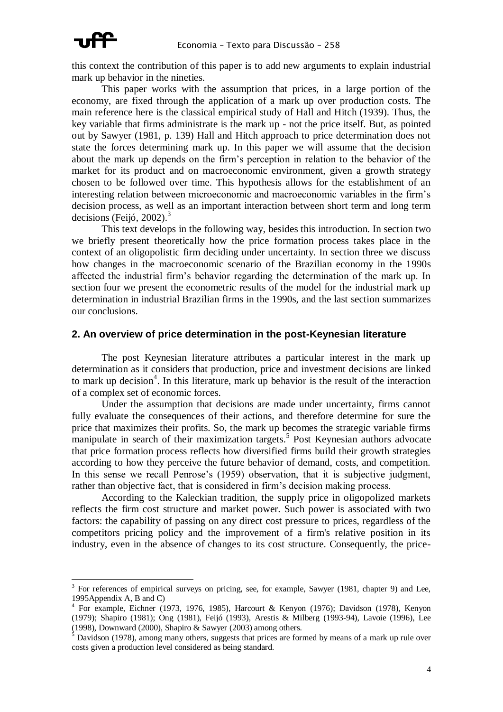

this context the contribution of this paper is to add new arguments to explain industrial mark up behavior in the nineties.

This paper works with the assumption that prices, in a large portion of the economy, are fixed through the application of a mark up over production costs. The main reference here is the classical empirical study of Hall and Hitch (1939). Thus, the key variable that firms administrate is the mark up - not the price itself. But, as pointed out by Sawyer (1981, p. 139) Hall and Hitch approach to price determination does not state the forces determining mark up. In this paper we will assume that the decision about the mark up depends on the firm's perception in relation to the behavior of the market for its product and on macroeconomic environment, given a growth strategy chosen to be followed over time. This hypothesis allows for the establishment of an interesting relation between microeconomic and macroeconomic variables in the firm's decision process, as well as an important interaction between short term and long term decisions (Feijó, 2002). $3$ 

This text develops in the following way, besides this introduction. In section two we briefly present theoretically how the price formation process takes place in the context of an oligopolistic firm deciding under uncertainty. In section three we discuss how changes in the macroeconomic scenario of the Brazilian economy in the 1990s affected the industrial firm's behavior regarding the determination of the mark up. In section four we present the econometric results of the model for the industrial mark up determination in industrial Brazilian firms in the 1990s, and the last section summarizes our conclusions.

#### **2. An overview of price determination in the post-Keynesian literature**

The post Keynesian literature attributes a particular interest in the mark up determination as it considers that production, price and investment decisions are linked to mark up decision<sup>4</sup>. In this literature, mark up behavior is the result of the interaction of a complex set of economic forces.

Under the assumption that decisions are made under uncertainty, firms cannot fully evaluate the consequences of their actions, and therefore determine for sure the price that maximizes their profits. So, the mark up becomes the strategic variable firms manipulate in search of their maximization targets.<sup>5</sup> Post Keynesian authors advocate that price formation process reflects how diversified firms build their growth strategies according to how they perceive the future behavior of demand, costs, and competition. In this sense we recall Penrose's (1959) observation, that it is subjective judgment, rather than objective fact, that is considered in firm's decision making process.

According to the Kaleckian tradition, the supply price in oligopolized markets reflects the firm cost structure and market power. Such power is associated with two factors: the capability of passing on any direct cost pressure to prices, regardless of the competitors pricing policy and the improvement of a firm's relative position in its industry, even in the absence of changes to its cost structure. Consequently, the price-

<sup>3</sup> For references of empirical surveys on pricing, see, for example, Sawyer (1981, chapter 9) and Lee, 1995Appendix A, B and C)

<sup>4</sup> For example, Eichner (1973, 1976, 1985), Harcourt & Kenyon (1976); Davidson (1978), Kenyon (1979); Shapiro (1981); Ong (1981), Feijó (1993), Arestis & Milberg (1993-94), Lavoie (1996), Lee (1998), Downward (2000), Shapiro & Sawyer (2003) among others.

 $<sup>5</sup>$  Davidson (1978), among many others, suggests that prices are formed by means of a mark up rule over</sup> costs given a production level considered as being standard.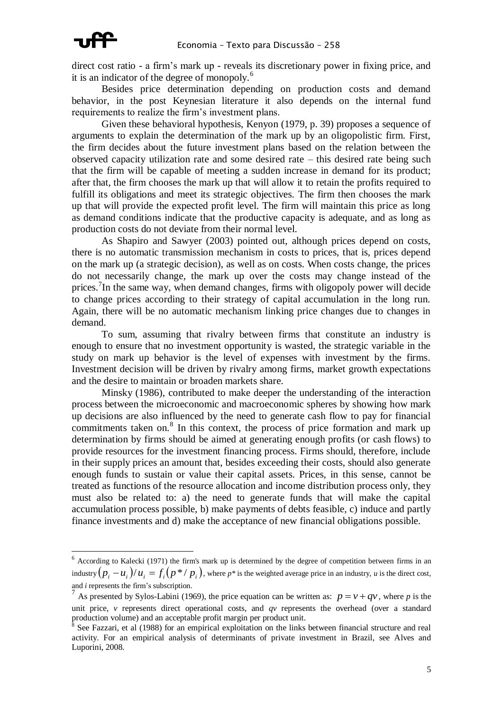

direct cost ratio - a firm's mark up - reveals its discretionary power in fixing price, and it is an indicator of the degree of monopoly.<sup>6</sup>

Besides price determination depending on production costs and demand behavior, in the post Keynesian literature it also depends on the internal fund requirements to realize the firm's investment plans.

Given these behavioral hypothesis, Kenyon (1979, p. 39) proposes a sequence of arguments to explain the determination of the mark up by an oligopolistic firm. First, the firm decides about the future investment plans based on the relation between the observed capacity utilization rate and some desired rate – this desired rate being such that the firm will be capable of meeting a sudden increase in demand for its product; after that, the firm chooses the mark up that will allow it to retain the profits required to fulfill its obligations and meet its strategic objectives. The firm then chooses the mark up that will provide the expected profit level. The firm will maintain this price as long as demand conditions indicate that the productive capacity is adequate, and as long as production costs do not deviate from their normal level.

As Shapiro and Sawyer (2003) pointed out, although prices depend on costs, there is no automatic transmission mechanism in costs to prices, that is, prices depend on the mark up (a strategic decision), as well as on costs. When costs change, the prices do not necessarily change, the mark up over the costs may change instead of the prices.<sup>7</sup>In the same way, when demand changes, firms with oligopoly power will decide to change prices according to their strategy of capital accumulation in the long run. Again, there will be no automatic mechanism linking price changes due to changes in demand.

To sum, assuming that rivalry between firms that constitute an industry is enough to ensure that no investment opportunity is wasted, the strategic variable in the study on mark up behavior is the level of expenses with investment by the firms. Investment decision will be driven by rivalry among firms, market growth expectations and the desire to maintain or broaden markets share.

Minsky (1986), contributed to make deeper the understanding of the interaction process between the microeconomic and macroeconomic spheres by showing how mark up decisions are also influenced by the need to generate cash flow to pay for financial commitments taken on.<sup>8</sup> In this context, the process of price formation and mark up determination by firms should be aimed at generating enough profits (or cash flows) to provide resources for the investment financing process. Firms should, therefore, include in their supply prices an amount that, besides exceeding their costs, should also generate enough funds to sustain or value their capital assets. Prices, in this sense, cannot be treated as functions of the resource allocation and income distribution process only, they must also be related to: a) the need to generate funds that will make the capital accumulation process possible, b) make payments of debts feasible, c) induce and partly finance investments and d) make the acceptance of new financial obligations possible.

<sup>&</sup>lt;sup>6</sup> According to Kalecki (1971) the firm's mark up is determined by the degree of competition between firms in an industry  $(p_i - u_i)/u_i = f_i(p * / p_i)$ , where  $p *$  is the weighted average price in an industry, *u* is the direct cost, and *i* represents the firm's subscription.

<sup>&</sup>lt;sup>7</sup> As presented by Sylos-Labini (1969), the price equation can be written as:  $p = v + qv$ , where *p* is the unit price, *v* represents direct operational costs, and *qv* represents the overhead (over a standard production volume) and an acceptable profit margin per product unit.<br><sup>8</sup> See Fezzeri, et al. (1088) for an empirical exploitation on the links

See Fazzari, et al (1988) for an empirical exploitation on the links between financial structure and real activity. For an empirical analysis of determinants of private investment in Brazil, see Alves and Luporini, 2008.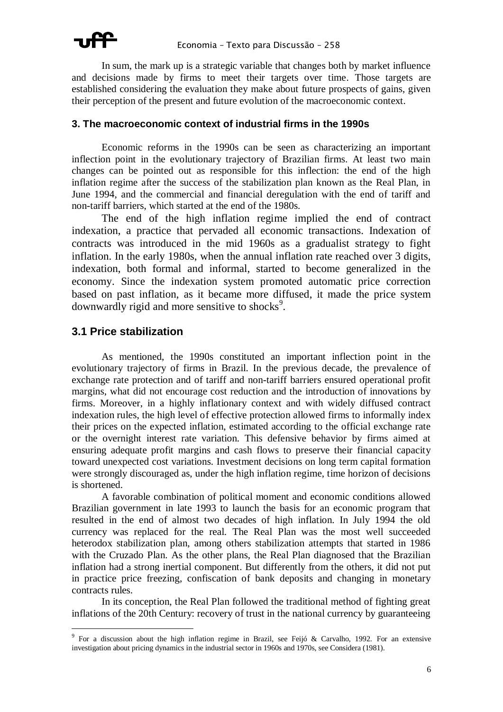In sum, the mark up is a strategic variable that changes both by market influence and decisions made by firms to meet their targets over time. Those targets are established considering the evaluation they make about future prospects of gains, given their perception of the present and future evolution of the macroeconomic context.

### **3. The macroeconomic context of industrial firms in the 1990s**

Economic reforms in the 1990s can be seen as characterizing an important inflection point in the evolutionary trajectory of Brazilian firms. At least two main changes can be pointed out as responsible for this inflection: the end of the high inflation regime after the success of the stabilization plan known as the Real Plan, in June 1994, and the commercial and financial deregulation with the end of tariff and non-tariff barriers, which started at the end of the 1980s.

The end of the high inflation regime implied the end of contract indexation, a practice that pervaded all economic transactions. Indexation of contracts was introduced in the mid 1960s as a gradualist strategy to fight inflation. In the early 1980s, when the annual inflation rate reached over 3 digits, indexation, both formal and informal, started to become generalized in the economy. Since the indexation system promoted automatic price correction based on past inflation, as it became more diffused, it made the price system downwardly rigid and more sensitive to shocks<sup>9</sup>.

# **3.1 Price stabilization**

 $\overline{a}$ 

As mentioned, the 1990s constituted an important inflection point in the evolutionary trajectory of firms in Brazil. In the previous decade, the prevalence of exchange rate protection and of tariff and non-tariff barriers ensured operational profit margins, what did not encourage cost reduction and the introduction of innovations by firms. Moreover, in a highly inflationary context and with widely diffused contract indexation rules, the high level of effective protection allowed firms to informally index their prices on the expected inflation, estimated according to the official exchange rate or the overnight interest rate variation. This defensive behavior by firms aimed at ensuring adequate profit margins and cash flows to preserve their financial capacity toward unexpected cost variations. Investment decisions on long term capital formation were strongly discouraged as, under the high inflation regime, time horizon of decisions is shortened.

A favorable combination of political moment and economic conditions allowed Brazilian government in late 1993 to launch the basis for an economic program that resulted in the end of almost two decades of high inflation. In July 1994 the old currency was replaced for the real. The Real Plan was the most well succeeded heterodox stabilization plan, among others stabilization attempts that started in 1986 with the Cruzado Plan. As the other plans, the Real Plan diagnosed that the Brazilian inflation had a strong inertial component. But differently from the others, it did not put in practice price freezing, confiscation of bank deposits and changing in monetary contracts rules.

In its conception, the Real Plan followed the traditional method of fighting great inflations of the 20th Century: recovery of trust in the national currency by guaranteeing

<sup>&</sup>lt;sup>9</sup> For a discussion about the high inflation regime in Brazil, see Feijó & Carvalho, 1992. For an extensive investigation about pricing dynamics in the industrial sector in 1960s and 1970s, see Considera (1981).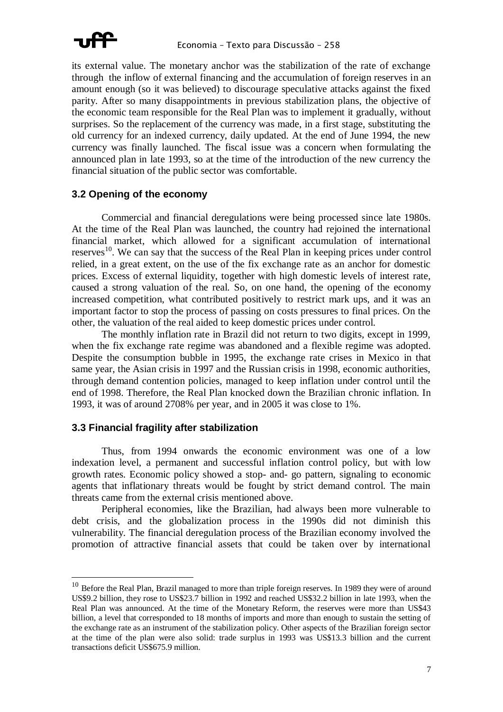

its external value. The monetary anchor was the stabilization of the rate of exchange through the inflow of external financing and the accumulation of foreign reserves in an amount enough (so it was believed) to discourage speculative attacks against the fixed parity. After so many disappointments in previous stabilization plans, the objective of the economic team responsible for the Real Plan was to implement it gradually, without surprises. So the replacement of the currency was made, in a first stage, substituting the old currency for an indexed currency, daily updated. At the end of June 1994, the new currency was finally launched. The fiscal issue was a concern when formulating the announced plan in late 1993, so at the time of the introduction of the new currency the financial situation of the public sector was comfortable.

#### **3.2 Opening of the economy**

Commercial and financial deregulations were being processed since late 1980s. At the time of the Real Plan was launched, the country had rejoined the international financial market, which allowed for a significant accumulation of international reserves<sup>10</sup>. We can say that the success of the Real Plan in keeping prices under control relied, in a great extent, on the use of the fix exchange rate as an anchor for domestic prices. Excess of external liquidity, together with high domestic levels of interest rate, caused a strong valuation of the real. So, on one hand, the opening of the economy increased competition, what contributed positively to restrict mark ups, and it was an important factor to stop the process of passing on costs pressures to final prices. On the other, the valuation of the real aided to keep domestic prices under control.

The monthly inflation rate in Brazil did not return to two digits, except in 1999, when the fix exchange rate regime was abandoned and a flexible regime was adopted. Despite the consumption bubble in 1995, the exchange rate crises in Mexico in that same year, the Asian crisis in 1997 and the Russian crisis in 1998, economic authorities, through demand contention policies, managed to keep inflation under control until the end of 1998. Therefore, the Real Plan knocked down the Brazilian chronic inflation. In 1993, it was of around 2708% per year, and in 2005 it was close to 1%.

#### **3.3 Financial fragility after stabilization**

 $\overline{a}$ 

Thus, from 1994 onwards the economic environment was one of a low indexation level, a permanent and successful inflation control policy, but with low growth rates. Economic policy showed a stop- and- go pattern, signaling to economic agents that inflationary threats would be fought by strict demand control. The main threats came from the external crisis mentioned above.

Peripheral economies, like the Brazilian, had always been more vulnerable to debt crisis, and the globalization process in the 1990s did not diminish this vulnerability. The financial deregulation process of the Brazilian economy involved the promotion of attractive financial assets that could be taken over by international

 $10$  Before the Real Plan, Brazil managed to more than triple foreign reserves. In 1989 they were of around US\$9.2 billion, they rose to US\$23.7 billion in 1992 and reached US\$32.2 billion in late 1993, when the Real Plan was announced. At the time of the Monetary Reform, the reserves were more than US\$43 billion, a level that corresponded to 18 months of imports and more than enough to sustain the setting of the exchange rate as an instrument of the stabilization policy. Other aspects of the Brazilian foreign sector at the time of the plan were also solid: trade surplus in 1993 was US\$13.3 billion and the current transactions deficit US\$675.9 million.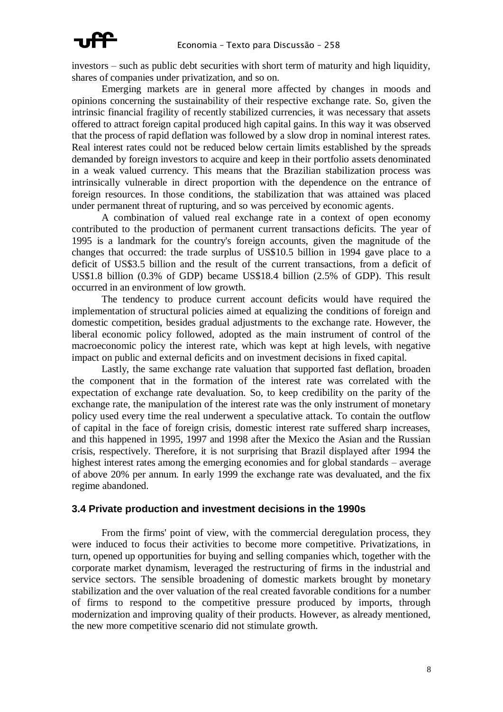

investors – such as public debt securities with short term of maturity and high liquidity, shares of companies under privatization, and so on.

Emerging markets are in general more affected by changes in moods and opinions concerning the sustainability of their respective exchange rate. So, given the intrinsic financial fragility of recently stabilized currencies, it was necessary that assets offered to attract foreign capital produced high capital gains. In this way it was observed that the process of rapid deflation was followed by a slow drop in nominal interest rates. Real interest rates could not be reduced below certain limits established by the spreads demanded by foreign investors to acquire and keep in their portfolio assets denominated in a weak valued currency. This means that the Brazilian stabilization process was intrinsically vulnerable in direct proportion with the dependence on the entrance of foreign resources. In those conditions, the stabilization that was attained was placed under permanent threat of rupturing, and so was perceived by economic agents.

A combination of valued real exchange rate in a context of open economy contributed to the production of permanent current transactions deficits. The year of 1995 is a landmark for the country's foreign accounts, given the magnitude of the changes that occurred: the trade surplus of US\$10.5 billion in 1994 gave place to a deficit of US\$3.5 billion and the result of the current transactions, from a deficit of US\$1.8 billion (0.3% of GDP) became US\$18.4 billion (2.5% of GDP). This result occurred in an environment of low growth.

The tendency to produce current account deficits would have required the implementation of structural policies aimed at equalizing the conditions of foreign and domestic competition, besides gradual adjustments to the exchange rate. However, the liberal economic policy followed, adopted as the main instrument of control of the macroeconomic policy the interest rate, which was kept at high levels, with negative impact on public and external deficits and on investment decisions in fixed capital.

Lastly, the same exchange rate valuation that supported fast deflation, broaden the component that in the formation of the interest rate was correlated with the expectation of exchange rate devaluation. So, to keep credibility on the parity of the exchange rate, the manipulation of the interest rate was the only instrument of monetary policy used every time the real underwent a speculative attack. To contain the outflow of capital in the face of foreign crisis, domestic interest rate suffered sharp increases, and this happened in 1995, 1997 and 1998 after the Mexico the Asian and the Russian crisis, respectively. Therefore, it is not surprising that Brazil displayed after 1994 the highest interest rates among the emerging economies and for global standards – average of above 20% per annum. In early 1999 the exchange rate was devaluated, and the fix regime abandoned.

#### **3.4 Private production and investment decisions in the 1990s**

From the firms' point of view, with the commercial deregulation process, they were induced to focus their activities to become more competitive. Privatizations, in turn, opened up opportunities for buying and selling companies which, together with the corporate market dynamism, leveraged the restructuring of firms in the industrial and service sectors. The sensible broadening of domestic markets brought by monetary stabilization and the over valuation of the real created favorable conditions for a number of firms to respond to the competitive pressure produced by imports, through modernization and improving quality of their products. However, as already mentioned, the new more competitive scenario did not stimulate growth.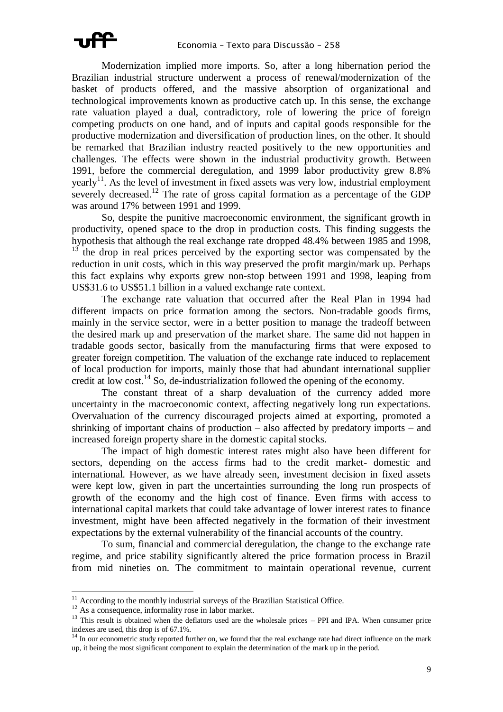Modernization implied more imports. So, after a long hibernation period the Brazilian industrial structure underwent a process of renewal/modernization of the basket of products offered, and the massive absorption of organizational and technological improvements known as productive catch up. In this sense, the exchange rate valuation played a dual, contradictory, role of lowering the price of foreign competing products on one hand, and of inputs and capital goods responsible for the productive modernization and diversification of production lines, on the other. It should be remarked that Brazilian industry reacted positively to the new opportunities and challenges. The effects were shown in the industrial productivity growth. Between 1991, before the commercial deregulation, and 1999 labor productivity grew 8.8% yearly<sup>11</sup>. As the level of investment in fixed assets was very low, industrial employment severely decreased.<sup>12</sup> The rate of gross capital formation as a percentage of the GDP was around 17% between 1991 and 1999.

So, despite the punitive macroeconomic environment, the significant growth in productivity, opened space to the drop in production costs. This finding suggests the hypothesis that although the real exchange rate dropped 48.4% between 1985 and 1998,  $13$  the drop in real prices perceived by the exporting sector was compensated by the reduction in unit costs, which in this way preserved the profit margin/mark up. Perhaps this fact explains why exports grew non-stop between 1991 and 1998, leaping from US\$31.6 to US\$51.1 billion in a valued exchange rate context.

The exchange rate valuation that occurred after the Real Plan in 1994 had different impacts on price formation among the sectors. Non-tradable goods firms, mainly in the service sector, were in a better position to manage the tradeoff between the desired mark up and preservation of the market share. The same did not happen in tradable goods sector, basically from the manufacturing firms that were exposed to greater foreign competition. The valuation of the exchange rate induced to replacement of local production for imports, mainly those that had abundant international supplier credit at low cost.<sup>14</sup> So, de-industrialization followed the opening of the economy.

The constant threat of a sharp devaluation of the currency added more uncertainty in the macroeconomic context, affecting negatively long run expectations. Overvaluation of the currency discouraged projects aimed at exporting, promoted a shrinking of important chains of production – also affected by predatory imports – and increased foreign property share in the domestic capital stocks.

The impact of high domestic interest rates might also have been different for sectors, depending on the access firms had to the credit market- domestic and international. However, as we have already seen, investment decision in fixed assets were kept low, given in part the uncertainties surrounding the long run prospects of growth of the economy and the high cost of finance. Even firms with access to international capital markets that could take advantage of lower interest rates to finance investment, might have been affected negatively in the formation of their investment expectations by the external vulnerability of the financial accounts of the country.

To sum, financial and commercial deregulation, the change to the exchange rate regime, and price stability significantly altered the price formation process in Brazil from mid nineties on. The commitment to maintain operational revenue, current

 $\overline{a}$ 

 $11$  According to the monthly industrial surveys of the Brazilian Statistical Office.

<sup>&</sup>lt;sup>12</sup> As a consequence, informality rose in labor market.

<sup>&</sup>lt;sup>13</sup> This result is obtained when the deflators used are the wholesale prices – PPI and IPA. When consumer price indexes are used, this drop is of 67.1%.

In our econometric study reported further on, we found that the real exchange rate had direct influence on the mark up, it being the most significant component to explain the determination of the mark up in the period*.*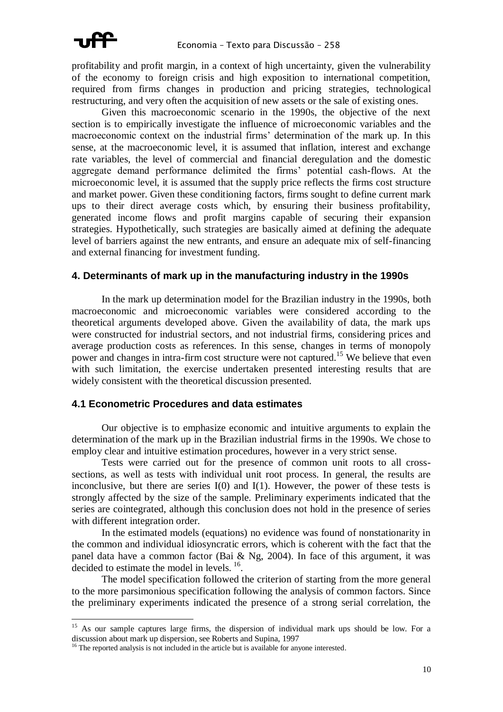

profitability and profit margin, in a context of high uncertainty, given the vulnerability of the economy to foreign crisis and high exposition to international competition, required from firms changes in production and pricing strategies, technological restructuring, and very often the acquisition of new assets or the sale of existing ones.

Given this macroeconomic scenario in the 1990s, the objective of the next section is to empirically investigate the influence of microeconomic variables and the macroeconomic context on the industrial firms' determination of the mark up. In this sense, at the macroeconomic level, it is assumed that inflation, interest and exchange rate variables, the level of commercial and financial deregulation and the domestic aggregate demand performance delimited the firms' potential cash-flows. At the microeconomic level, it is assumed that the supply price reflects the firms cost structure and market power. Given these conditioning factors, firms sought to define current mark ups to their direct average costs which, by ensuring their business profitability, generated income flows and profit margins capable of securing their expansion strategies. Hypothetically, such strategies are basically aimed at defining the adequate level of barriers against the new entrants, and ensure an adequate mix of self-financing and external financing for investment funding.

#### **4. Determinants of mark up in the manufacturing industry in the 1990s**

In the mark up determination model for the Brazilian industry in the 1990s, both macroeconomic and microeconomic variables were considered according to the theoretical arguments developed above. Given the availability of data, the mark ups were constructed for industrial sectors, and not industrial firms, considering prices and average production costs as references. In this sense, changes in terms of monopoly power and changes in intra-firm cost structure were not captured.<sup>15</sup> We believe that even with such limitation, the exercise undertaken presented interesting results that are widely consistent with the theoretical discussion presented.

#### **4.1 Econometric Procedures and data estimates**

Our objective is to emphasize economic and intuitive arguments to explain the determination of the mark up in the Brazilian industrial firms in the 1990s. We chose to employ clear and intuitive estimation procedures, however in a very strict sense.

Tests were carried out for the presence of common unit roots to all crosssections, as well as tests with individual unit root process. In general, the results are inconclusive, but there are series  $I(0)$  and  $I(1)$ . However, the power of these tests is strongly affected by the size of the sample. Preliminary experiments indicated that the series are cointegrated, although this conclusion does not hold in the presence of series with different integration order.

In the estimated models (equations) no evidence was found of nonstationarity in the common and individual idiosyncratic errors, which is coherent with the fact that the panel data have a common factor (Bai & Ng, 2004). In face of this argument, it was decided to estimate the model in levels. <sup>16</sup>.

The model specification followed the criterion of starting from the more general to the more parsimonious specification following the analysis of common factors. Since the preliminary experiments indicated the presence of a strong serial correlation, the

<sup>&</sup>lt;sup>15</sup> As our sample captures large firms, the dispersion of individual mark ups should be low. For a discussion about mark up dispersion, see Roberts and Supina, 1997

<sup>&</sup>lt;sup>16</sup> The reported analysis is not included in the article but is available for anyone interested.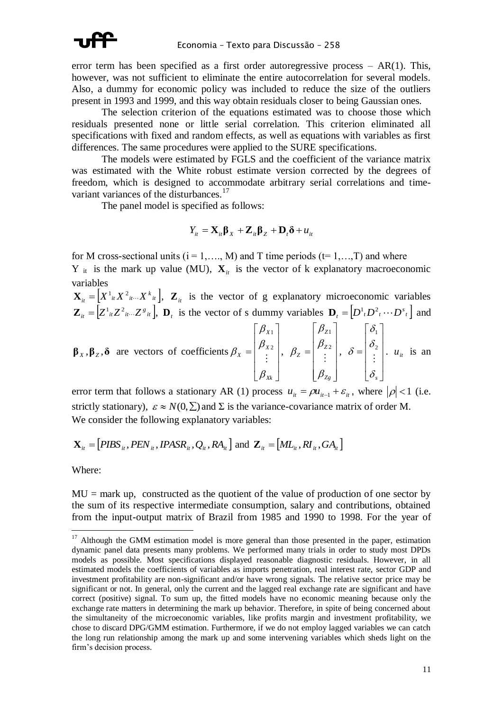

error term has been specified as a first order autoregressive process – AR(1). This, however, was not sufficient to eliminate the entire autocorrelation for several models. Also, a dummy for economic policy was included to reduce the size of the outliers present in 1993 and 1999, and this way obtain residuals closer to being Gaussian ones.

The selection criterion of the equations estimated was to choose those which residuals presented none or little serial correlation. This criterion eliminated all specifications with fixed and random effects, as well as equations with variables as first differences. The same procedures were applied to the SURE specifications.

The models were estimated by FGLS and the coefficient of the variance matrix was estimated with the White robust estimate version corrected by the degrees of freedom, which is designed to accommodate arbitrary serial correlations and timevariant variances of the disturbances.<sup>17</sup>

The panel model is specified as follows:

$$
Y_{it} = \mathbf{X}_{it} \mathbf{\beta}_X + \mathbf{Z}_{it} \mathbf{\beta}_Z + \mathbf{D}_t \mathbf{\delta} + u_{it}
$$

for M cross-sectional units ( $i = 1, \ldots, M$ ) and T time periods ( $t = 1, \ldots, T$ ) and where Y  $_{it}$  is the mark up value (MU),  $\mathbf{X}_{it}$  is the vector of k explanatory macroeconomic variables

 $\mathbf{X}_{it} = \left[ X^1_{it} X^2_{it} ... X^k_{it} \right], \mathbf{Z}_{it}$  is the vector of g explanatory microeconomic variables  $\mathbf{Z}_{it} = [Z^1_{it} Z^2_{it}... Z^s_{it}], \mathbf{D}_t$  is the vector of s dummy variables  $\mathbf{D}_t = [D^1_{t} D^2_{t} \cdots D^s_{t}]$  and

$$
\boldsymbol{\beta}_X, \boldsymbol{\beta}_Z, \boldsymbol{\delta}
$$
 are vectors of coefficients  $\beta_X = \begin{bmatrix} \beta_{X1} \\ \beta_{X2} \\ \vdots \\ \beta_{Xk} \end{bmatrix}, \ \beta_Z = \begin{bmatrix} \beta_{Z1} \\ \beta_{Z2} \\ \vdots \\ \beta_{Zg} \end{bmatrix}, \ \delta = \begin{bmatrix} \delta_1 \\ \delta_2 \\ \vdots \\ \delta_s \end{bmatrix}.$   $u_{ii}$  is an

error term that follows a stationary AR (1) process  $u_{it} = \rho u_{it-1} + \varepsilon_{it}$ , where  $|\rho| < 1$  (i.e. strictly stationary),  $\varepsilon \approx N(0, \Sigma)$  and  $\Sigma$  is the variance-covariance matrix of order M. We consider the following explanatory variables:

$$
\mathbf{X}_{it} = [PIBS_{it}, PEN_{it}, IPASR_{it}, Q_{it}, RA_{it}] \text{ and } \mathbf{Z}_{it} = [ML_{it}, RI_{it}, GA_{it}]
$$

Where:

 $\overline{a}$ 

 $MU = mark up$ , constructed as the quotient of the value of production of one sector by the sum of its respective intermediate consumption, salary and contributions, obtained from the input-output matrix of Brazil from 1985 and 1990 to 1998. For the year of

 $17$  Although the GMM estimation model is more general than those presented in the paper, estimation dynamic panel data presents many problems. We performed many trials in order to study most DPDs models as possible. Most specifications displayed reasonable diagnostic residuals. However, in all estimated models the coefficients of variables as imports penetration, real interest rate, sector GDP and investment profitability are non-significant and/or have wrong signals. The relative sector price may be significant or not. In general, only the current and the lagged real exchange rate are significant and have correct (positive) signal. To sum up, the fitted models have no economic meaning because only the exchange rate matters in determining the mark up behavior. Therefore, in spite of being concerned about the simultaneity of the microeconomic variables, like profits margin and investment profitability, we chose to discard DPG/GMM estimation. Furthermore, if we do not employ lagged variables we can catch the long run relationship among the mark up and some intervening variables which sheds light on the firm's decision process.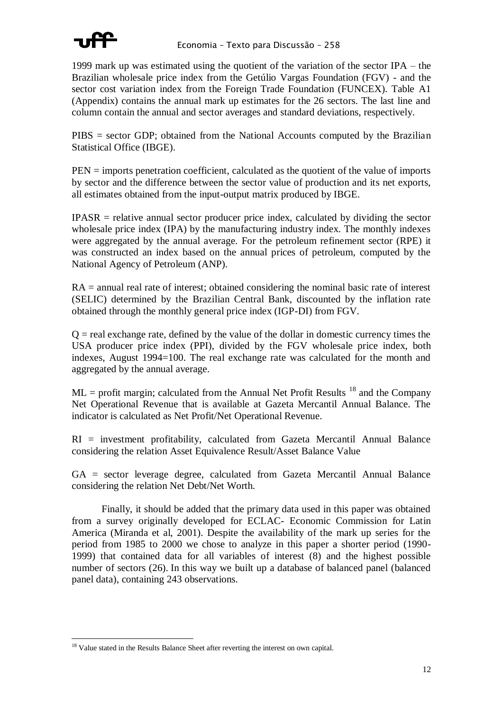

1999 mark up was estimated using the quotient of the variation of the sector IPA – the Brazilian wholesale price index from the Getúlio Vargas Foundation (FGV) - and the sector cost variation index from the Foreign Trade Foundation (FUNCEX). Table A1 (Appendix) contains the annual mark up estimates for the 26 sectors. The last line and column contain the annual and sector averages and standard deviations, respectively.

PIBS = sector GDP; obtained from the National Accounts computed by the Brazilian Statistical Office (IBGE).

PEN = imports penetration coefficient, calculated as the quotient of the value of imports by sector and the difference between the sector value of production and its net exports, all estimates obtained from the input-output matrix produced by IBGE.

 $IPASR$  = relative annual sector producer price index, calculated by dividing the sector wholesale price index (IPA) by the manufacturing industry index. The monthly indexes were aggregated by the annual average. For the petroleum refinement sector (RPE) it was constructed an index based on the annual prices of petroleum, computed by the National Agency of Petroleum (ANP).

RA = annual real rate of interest; obtained considering the nominal basic rate of interest (SELIC) determined by the Brazilian Central Bank, discounted by the inflation rate obtained through the monthly general price index (IGP-DI) from FGV.

 $Q =$  real exchange rate, defined by the value of the dollar in domestic currency times the USA producer price index (PPI), divided by the FGV wholesale price index, both indexes, August 1994=100. The real exchange rate was calculated for the month and aggregated by the annual average.

 $ML =$  profit margin; calculated from the Annual Net Profit Results  $^{18}$  and the Company Net Operational Revenue that is available at Gazeta Mercantil Annual Balance. The indicator is calculated as Net Profit/Net Operational Revenue.

RI = investment profitability, calculated from Gazeta Mercantil Annual Balance considering the relation Asset Equivalence Result/Asset Balance Value

GA = sector leverage degree, calculated from Gazeta Mercantil Annual Balance considering the relation Net Debt/Net Worth.

Finally, it should be added that the primary data used in this paper was obtained from a survey originally developed for ECLAC- Economic Commission for Latin America (Miranda et al, 2001). Despite the availability of the mark up series for the period from 1985 to 2000 we chose to analyze in this paper a shorter period (1990- 1999) that contained data for all variables of interest (8) and the highest possible number of sectors (26). In this way we built up a database of balanced panel (balanced panel data), containing 243 observations.

 $\overline{a}$ <sup>18</sup> Value stated in the Results Balance Sheet after reverting the interest on own capital.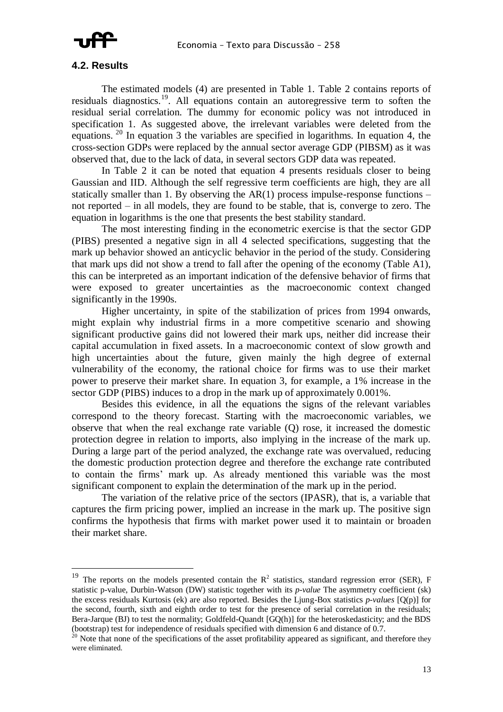

#### **4.2. Results**

 $\overline{a}$ 

The estimated models (4) are presented in Table 1. Table 2 contains reports of residuals diagnostics.<sup>19</sup>. All equations contain an autoregressive term to soften the residual serial correlation. The dummy for economic policy was not introduced in specification 1. As suggested above, the irrelevant variables were deleted from the equations. <sup>20</sup> In equation 3 the variables are specified in logarithms. In equation 4, the cross-section GDPs were replaced by the annual sector average GDP (PIBSM) as it was observed that, due to the lack of data, in several sectors GDP data was repeated.

In Table 2 it can be noted that equation 4 presents residuals closer to being Gaussian and IID. Although the self regressive term coefficients are high, they are all statically smaller than 1. By observing the  $AR(1)$  process impulse-response functions – not reported – in all models, they are found to be stable, that is, converge to zero. The equation in logarithms is the one that presents the best stability standard.

The most interesting finding in the econometric exercise is that the sector GDP (PIBS) presented a negative sign in all 4 selected specifications, suggesting that the mark up behavior showed an anticyclic behavior in the period of the study. Considering that mark ups did not show a trend to fall after the opening of the economy (Table A1), this can be interpreted as an important indication of the defensive behavior of firms that were exposed to greater uncertainties as the macroeconomic context changed significantly in the 1990s.

Higher uncertainty, in spite of the stabilization of prices from 1994 onwards, might explain why industrial firms in a more competitive scenario and showing significant productive gains did not lowered their mark ups, neither did increase their capital accumulation in fixed assets. In a macroeconomic context of slow growth and high uncertainties about the future, given mainly the high degree of external vulnerability of the economy, the rational choice for firms was to use their market power to preserve their market share. In equation 3, for example, a 1% increase in the sector GDP (PIBS) induces to a drop in the mark up of approximately 0.001%.

Besides this evidence, in all the equations the signs of the relevant variables correspond to the theory forecast. Starting with the macroeconomic variables, we observe that when the real exchange rate variable (Q) rose, it increased the domestic protection degree in relation to imports, also implying in the increase of the mark up. During a large part of the period analyzed, the exchange rate was overvalued, reducing the domestic production protection degree and therefore the exchange rate contributed to contain the firms' mark up. As already mentioned this variable was the most significant component to explain the determination of the mark up in the period.

The variation of the relative price of the sectors (IPASR), that is, a variable that captures the firm pricing power, implied an increase in the mark up. The positive sign confirms the hypothesis that firms with market power used it to maintain or broaden their market share.

<sup>&</sup>lt;sup>19</sup> The reports on the models presented contain the  $R^2$  statistics, standard regression error (SER), F statistic p-value, Durbin-Watson (DW) statistic together with its *p-value* The asymmetry coefficient (sk) the excess residuals Kurtosis (ek) are also reported. Besides the Ljung-Box statistics *p-values* [Q(p)] for the second, fourth, sixth and eighth order to test for the presence of serial correlation in the residuals; Bera-Jarque (BJ) to test the normality; Goldfeld-Quandt [GQ(h)] for the heteroskedasticity; and the BDS (bootstrap) test for independence of residuals specified with dimension 6 and distance of 0.7.

<sup>&</sup>lt;sup>20</sup> Note that none of the specifications of the asset profitability appeared as significant, and therefore they were eliminated.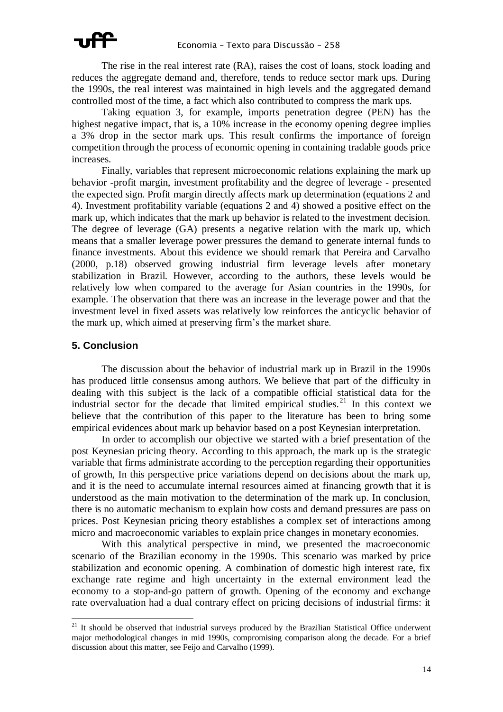

The rise in the real interest rate (RA), raises the cost of loans, stock loading and reduces the aggregate demand and, therefore, tends to reduce sector mark ups. During the 1990s, the real interest was maintained in high levels and the aggregated demand controlled most of the time, a fact which also contributed to compress the mark ups.

Taking equation 3, for example, imports penetration degree (PEN) has the highest negative impact, that is, a 10% increase in the economy opening degree implies a 3% drop in the sector mark ups. This result confirms the importance of foreign competition through the process of economic opening in containing tradable goods price increases.

Finally, variables that represent microeconomic relations explaining the mark up behavior -profit margin, investment profitability and the degree of leverage - presented the expected sign. Profit margin directly affects mark up determination (equations 2 and 4). Investment profitability variable (equations 2 and 4) showed a positive effect on the mark up, which indicates that the mark up behavior is related to the investment decision. The degree of leverage (GA) presents a negative relation with the mark up, which means that a smaller leverage power pressures the demand to generate internal funds to finance investments. About this evidence we should remark that Pereira and Carvalho (2000, p.18) observed growing industrial firm leverage levels after monetary stabilization in Brazil. However, according to the authors, these levels would be relatively low when compared to the average for Asian countries in the 1990s, for example. The observation that there was an increase in the leverage power and that the investment level in fixed assets was relatively low reinforces the anticyclic behavior of the mark up, which aimed at preserving firm's the market share.

#### **5. Conclusion**

 $\overline{a}$ 

The discussion about the behavior of industrial mark up in Brazil in the 1990s has produced little consensus among authors. We believe that part of the difficulty in dealing with this subject is the lack of a compatible official statistical data for the industrial sector for the decade that limited empirical studies.<sup>21</sup> In this context we believe that the contribution of this paper to the literature has been to bring some empirical evidences about mark up behavior based on a post Keynesian interpretation.

In order to accomplish our objective we started with a brief presentation of the post Keynesian pricing theory. According to this approach, the mark up is the strategic variable that firms administrate according to the perception regarding their opportunities of growth, In this perspective price variations depend on decisions about the mark up, and it is the need to accumulate internal resources aimed at financing growth that it is understood as the main motivation to the determination of the mark up. In conclusion, there is no automatic mechanism to explain how costs and demand pressures are pass on prices. Post Keynesian pricing theory establishes a complex set of interactions among micro and macroeconomic variables to explain price changes in monetary economies.

With this analytical perspective in mind, we presented the macroeconomic scenario of the Brazilian economy in the 1990s. This scenario was marked by price stabilization and economic opening. A combination of domestic high interest rate, fix exchange rate regime and high uncertainty in the external environment lead the economy to a stop-and-go pattern of growth. Opening of the economy and exchange rate overvaluation had a dual contrary effect on pricing decisions of industrial firms: it

 $21$  It should be observed that industrial surveys produced by the Brazilian Statistical Office underwent major methodological changes in mid 1990s, compromising comparison along the decade. For a brief discussion about this matter, see Feijo and Carvalho (1999).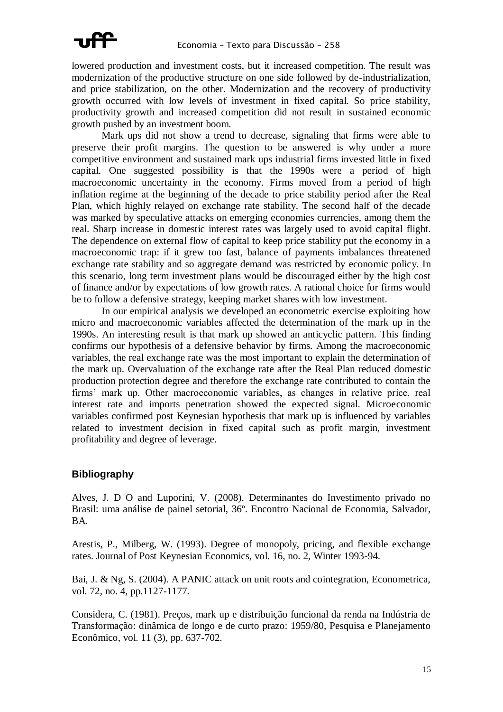

lowered production and investment costs, but it increased competition. The result was modernization of the productive structure on one side followed by de-industrialization, and price stabilization, on the other. Modernization and the recovery of productivity growth occurred with low levels of investment in fixed capital. So price stability, productivity growth and increased competition did not result in sustained economic growth pushed by an investment boom.

Mark ups did not show a trend to decrease, signaling that firms were able to preserve their profit margins. The question to be answered is why under a more competitive environment and sustained mark ups industrial firms invested little in fixed capital. One suggested possibility is that the 1990s were a period of high macroeconomic uncertainty in the economy. Firms moved from a period of high inflation regime at the beginning of the decade to price stability period after the Real Plan, which highly relayed on exchange rate stability. The second half of the decade was marked by speculative attacks on emerging economies currencies, among them the real. Sharp increase in domestic interest rates was largely used to avoid capital flight. The dependence on external flow of capital to keep price stability put the economy in a macroeconomic trap: if it grew too fast, balance of payments imbalances threatened exchange rate stability and so aggregate demand was restricted by economic policy. In this scenario, long term investment plans would be discouraged either by the high cost of finance and/or by expectations of low growth rates. A rational choice for firms would be to follow a defensive strategy, keeping market shares with low investment.

In our empirical analysis we developed an econometric exercise exploiting how micro and macroeconomic variables affected the determination of the mark up in the 1990s. An interesting result is that mark up showed an anticyclic pattern. This finding confirms our hypothesis of a defensive behavior by firms. Among the macroeconomic variables, the real exchange rate was the most important to explain the determination of the mark up. Overvaluation of the exchange rate after the Real Plan reduced domestic production protection degree and therefore the exchange rate contributed to contain the firms' mark up. Other macroeconomic variables, as changes in relative price, real interest rate and imports penetration showed the expected signal. Microeconomic variables confirmed post Keynesian hypothesis that mark up is influenced by variables related to investment decision in fixed capital such as profit margin, investment profitability and degree of leverage.

### **Bibliography**

Alves, J. D O and Luporini, V. (2008). Determinantes do Investimento privado no Brasil: uma análise de painel setorial, 36º. Encontro Nacional de Economia, Salvador, BA.

Arestis, P., Milberg, W. (1993). Degree of monopoly, pricing, and flexible exchange rates. Journal of Post Keynesian Economics, vol. 16, no. 2, Winter 1993-94.

Bai, J. & Ng, S. (2004). A PANIC attack on unit roots and cointegration, Econometrica, vol. 72, no. 4, pp.1127-1177.

Considera, C. (1981). Preços, mark up e distribuição funcional da renda na Indústria de Transformação: dinâmica de longo e de curto prazo: 1959/80, Pesquisa e Planejamento Econômico, vol. 11 (3), pp. 637-702.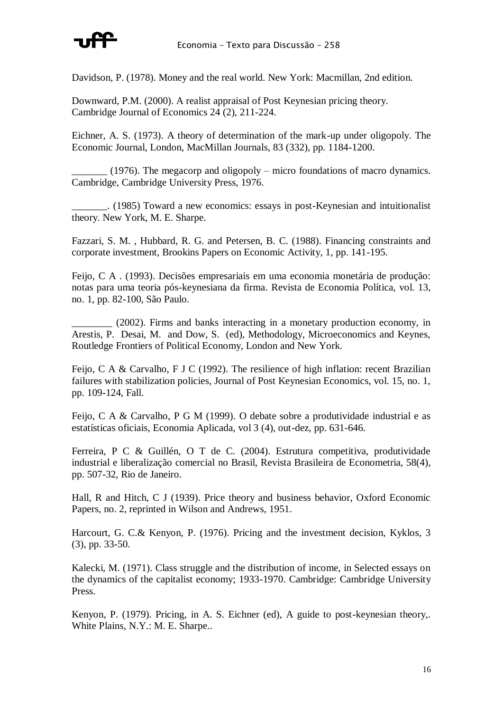

Davidson, P. (1978). Money and the real world. New York: Macmillan, 2nd edition.

Downward, P.M. (2000). A realist appraisal of Post Keynesian pricing theory. Cambridge Journal of Economics 24 (2), 211-224.

Eichner, A. S. (1973). A theory of determination of the mark-up under oligopoly. The Economic Journal, London, MacMillan Journals, 83 (332), pp. 1184-1200.

\_\_\_\_\_\_\_ (1976). The megacorp and oligopoly – micro foundations of macro dynamics. Cambridge, Cambridge University Press, 1976.

\_\_\_\_\_\_\_. (1985) Toward a new economics: essays in post-Keynesian and intuitionalist theory. New York, M. E. Sharpe.

Fazzari, S. M. , Hubbard, R. G. and Petersen, B. C. (1988). Financing constraints and corporate investment, Brookins Papers on Economic Activity, 1, pp. 141-195.

Feijo, C A . (1993). Decisões empresariais em uma economia monetária de produção: notas para uma teoria pós-keynesiana da firma. Revista de Economia Política, vol. 13, no. 1, pp. 82-100, São Paulo.

\_\_\_\_\_\_\_\_ (2002). Firms and banks interacting in a monetary production economy, in Arestis, P. Desai, M. and Dow, S. (ed), Methodology, Microeconomics and Keynes, Routledge Frontiers of Political Economy, London and New York.

Feijo, C A & Carvalho, F J C (1992). The resilience of high inflation: recent Brazilian failures with stabilization policies, Journal of Post Keynesian Economics, vol. 15, no. 1, pp. 109-124, Fall.

Feijo, C A & Carvalho, P G M (1999). O debate sobre a produtividade industrial e as estatísticas oficiais, Economia Aplicada, vol 3 (4), out-dez, pp. 631-646.

Ferreira, P C & Guillén, O T de C. (2004). Estrutura competitiva, produtividade industrial e liberalização comercial no Brasil, Revista Brasileira de Econometria, 58(4), pp. 507-32, Rio de Janeiro.

Hall, R and Hitch, C J (1939). Price theory and business behavior, Oxford Economic Papers, no. 2, reprinted in Wilson and Andrews, 1951.

Harcourt, G. C.& Kenyon, P. (1976). Pricing and the investment decision, Kyklos, 3 (3), pp. 33-50.

Kalecki, M. (1971). Class struggle and the distribution of income, in Selected essays on the dynamics of the capitalist economy; 1933-1970. Cambridge: Cambridge University Press.

Kenyon, P. (1979). Pricing, in A. S. Eichner (ed), A guide to post-keynesian theory,. White Plains, N.Y.: M. E. Sharpe..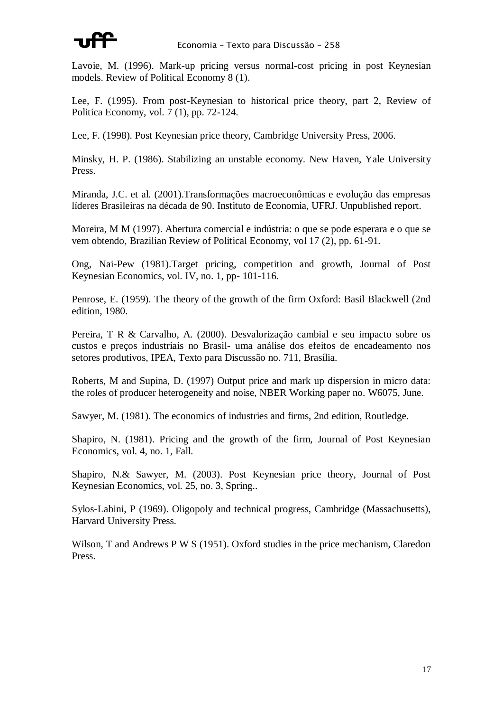

Lavoie, M. (1996). Mark-up pricing versus normal-cost pricing in post Keynesian models. Review of Political Economy 8 (1).

Lee, F. (1995). From post-Keynesian to historical price theory, part 2, Review of Politica Economy, vol. 7 (1), pp. 72-124.

Lee, F. (1998). Post Keynesian price theory, Cambridge University Press, 2006.

Minsky, H. P. (1986). Stabilizing an unstable economy. New Haven, Yale University Press.

Miranda, J.C. et al. (2001).Transformações macroeconômicas e evolução das empresas líderes Brasileiras na década de 90. Instituto de Economia, UFRJ. Unpublished report.

Moreira, M M (1997). Abertura comercial e indústria: o que se pode esperara e o que se vem obtendo, Brazilian Review of Political Economy, vol 17 (2), pp. 61-91.

Ong, Nai-Pew (1981).Target pricing, competition and growth, Journal of Post Keynesian Economics, vol. IV, no. 1, pp- 101-116.

Penrose, E. (1959). The theory of the growth of the firm Oxford: Basil Blackwell (2nd edition, 1980.

Pereira, T R & Carvalho, A. (2000). Desvalorização cambial e seu impacto sobre os custos e preços industriais no Brasil- uma análise dos efeitos de encadeamento nos setores produtivos, IPEA, Texto para Discussão no. 711, Brasília.

Roberts, M and Supina, D. (1997) Output price and mark up dispersion in micro data: the roles of producer heterogeneity and noise, NBER Working paper no. W6075, June.

Sawyer, M. (1981). The economics of industries and firms, 2nd edition, Routledge.

Shapiro, N. (1981). Pricing and the growth of the firm, Journal of Post Keynesian Economics, vol. 4, no. 1, Fall.

Shapiro, N.& Sawyer, M. (2003). Post Keynesian price theory, Journal of Post Keynesian Economics, vol. 25, no. 3, Spring..

Sylos-Labini, P (1969). Oligopoly and technical progress, Cambridge (Massachusetts), Harvard University Press.

Wilson, T and Andrews P W S (1951). Oxford studies in the price mechanism, Claredon Press.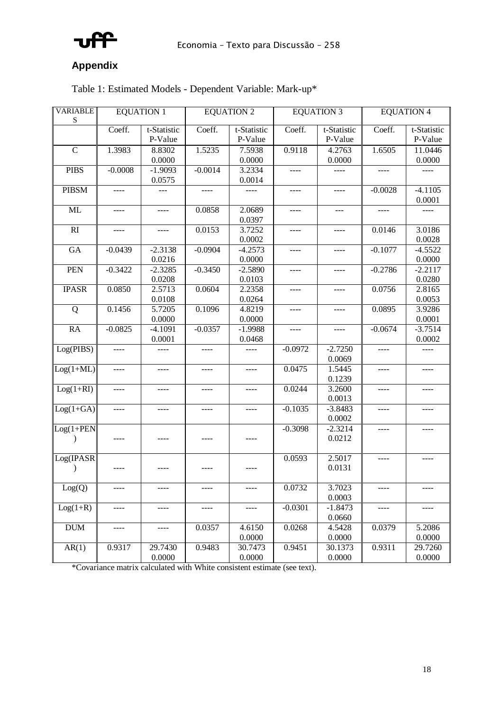

# **Appendix**

| Table 1: Estimated Models - Dependent Variable: Mark-up* |  |  |  |
|----------------------------------------------------------|--|--|--|
|----------------------------------------------------------|--|--|--|

| <b>VARIABLE</b><br>S          | <b>EQUATION 1</b> |                                | <b>EQUATION 2</b> |                        |           | <b>EQUATION 3</b>      | <b>EQUATION 4</b> |                        |  |  |
|-------------------------------|-------------------|--------------------------------|-------------------|------------------------|-----------|------------------------|-------------------|------------------------|--|--|
|                               | Coeff.            | t-Statistic<br>P-Value         | Coeff.            | t-Statistic<br>P-Value | Coeff.    | t-Statistic<br>P-Value | Coeff.            | t-Statistic<br>P-Value |  |  |
| $\mathbf C$                   | 1.3983            | 8.8302<br>0.0000               | 1.5235            | 7.5938<br>0.0000       | 0.9118    | 4.2763<br>0.0000       | 1.6505            | 11.0446<br>0.0000      |  |  |
| <b>PIBS</b>                   | $-0.0008$         | $-1.9093$<br>0.0575            | $-0.0014$         | 3.2334<br>0.0014       | ----      |                        | $- - - -$         |                        |  |  |
| <b>PIBSM</b>                  |                   |                                |                   |                        |           |                        | $-0.0028$         | $-4.1105$<br>0.0001    |  |  |
| ML                            | ----              | ----                           | 0.0858            | 2.0689<br>0.0397       | ----      | $---$                  | $- - - -$         |                        |  |  |
| R1                            | ----              | $\cdots$                       | 0.0153            | 3.7252<br>0.0002       | $---$     | ----                   | 0.0146            | 3.0186<br>0.0028       |  |  |
| GA                            | $-0.0439$         | $\overline{-2.3138}$<br>0.0216 | $-0.0904$         | $-4.2573$<br>0.0000    | ----      | $- - - -$              | $-0.1077$         | $-4.5522$<br>0.0000    |  |  |
| PEN                           | $-0.3422$         | $-2.3285$<br>0.0208            | $-0.3450$         | $-2.5890$<br>0.0103    | ----      | ----                   | $-0.2786$         | $-2.2117$<br>0.0280    |  |  |
| <b>IPASR</b>                  | 0.0850            | 2.5713<br>0.0108               | 0.0604            | 2.2358<br>0.0264       | ----      | ----                   | 0.0756            | 2.8165<br>0.0053       |  |  |
| Q                             | 0.1456            | 5.7205<br>0.0000               | 0.1096            | 4.8219<br>0.0000       |           |                        | 0.0895            | 3.9286<br>0.0001       |  |  |
| <b>RA</b>                     | $-0.0825$         | $-4.1091$<br>0.0001            | $-0.0357$         | $-1.9988$<br>0.0468    | ----      |                        | $-0.0674$         | $-3.7514$<br>0.0002    |  |  |
| Log(PIBS)                     | ----              | ----                           | $- - - -$         | ----                   | $-0.0972$ | $-2.7250$<br>0.0069    | $---$             | ----                   |  |  |
| $Log(1+ML)$                   |                   |                                |                   |                        | 0.0475    | 1.5445<br>0.1239       |                   |                        |  |  |
| $Log(1+RI)$                   | ----              |                                | ----              |                        | 0.0244    | 3.2600<br>0.0013       | ----              |                        |  |  |
| $Log(1+GA)$                   | ----              | ----                           | $- - - -$         | ----                   | $-0.1035$ | $-3.8483$<br>0.0002    | ----              | ----                   |  |  |
| $Log(1+PEN)$<br>$\mathcal{E}$ | ----              |                                | ----              |                        | $-0.3098$ | $-2.3214$<br>0.0212    | $- - - -$         | ----                   |  |  |
| Log(IPASR)<br>$\lambda$       |                   |                                |                   | ----                   | 0.0593    | 2.5017<br>0.0131       | ----              | ----                   |  |  |
| Log(Q)                        | ----              | ----                           | ----              | ----                   | 0.0732    | 3.7023<br>0.0003       | ----              | ----                   |  |  |
| $Log(1+R)$                    | ----              | ----                           | $---$             | ----                   | $-0.0301$ | $-1.8473$<br>0.0660    | $---$             | $--- -$                |  |  |
| <b>DUM</b>                    | ----              |                                | 0.0357            | 4.6150<br>0.0000       | 0.0268    | 4.5428<br>0.0000       | 0.0379            | 5.2086<br>0.0000       |  |  |
| AR(1)                         | 0.9317            | 29.7430<br>0.0000              | 0.9483            | 30.7473<br>0.0000      | 0.9451    | 30.1373<br>0.0000      | 0.9311            | 29.7260<br>0.0000      |  |  |

\*Covariance matrix calculated with White consistent estimate (see text).